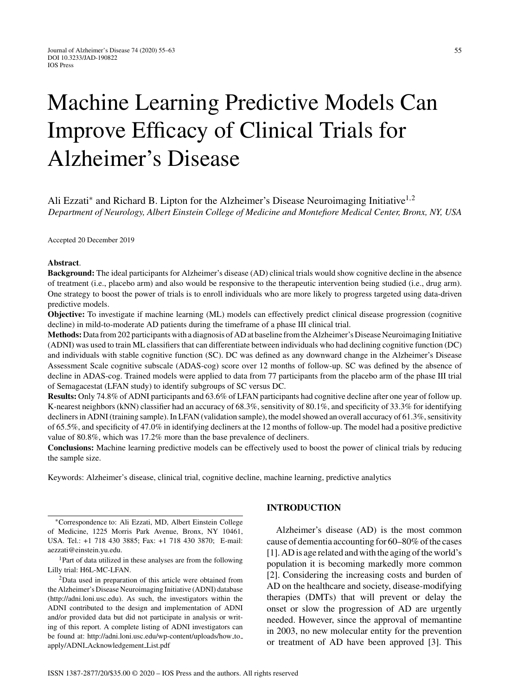# Machine Learning Predictive Models Can Improve Efficacy of Clinical Trials for Alzheimer's Disease

Ali Ezzati<sup>\*</sup> and Richard B. Lipton for the Alzheimer's Disease Neuroimaging Initiative<sup>1,2</sup> *Department of Neurology, Albert Einstein College of Medicine and Montefiore Medical Center, Bronx, NY, USA*

Accepted 20 December 2019

#### **Abstract**.

**Background:** The ideal participants for Alzheimer's disease (AD) clinical trials would show cognitive decline in the absence of treatment (i.e., placebo arm) and also would be responsive to the therapeutic intervention being studied (i.e., drug arm). One strategy to boost the power of trials is to enroll individuals who are more likely to progress targeted using data-driven predictive models.

**Objective:** To investigate if machine learning (ML) models can effectively predict clinical disease progression (cognitive decline) in mild-to-moderate AD patients during the timeframe of a phase III clinical trial.

**Methods:** Data from 202 participants with a diagnosis of AD at baseline from the Alzheimer's Disease Neuroimaging Initiative (ADNI) was used to train ML classifiers that can differentiate between individuals who had declining cognitive function (DC) and individuals with stable cognitive function (SC). DC was defined as any downward change in the Alzheimer's Disease Assessment Scale cognitive subscale (ADAS-cog) score over 12 months of follow-up. SC was defined by the absence of decline in ADAS-cog. Trained models were applied to data from 77 participants from the placebo arm of the phase III trial of Semagacestat (LFAN study) to identify subgroups of SC versus DC.

**Results:** Only 74.8% of ADNI participants and 63.6% of LFAN participants had cognitive decline after one year of follow up. K-nearest neighbors (kNN) classifier had an accuracy of 68.3%, sensitivity of 80.1%, and specificity of 33.3% for identifying decliners in ADNI (training sample). In LFAN (validation sample), the model showed an overall accuracy of 61.3%, sensitivity of 65.5%, and specificity of 47.0% in identifying decliners at the 12 months of follow-up. The model had a positive predictive value of 80.8%, which was 17.2% more than the base prevalence of decliners.

**Conclusions:** Machine learning predictive models can be effectively used to boost the power of clinical trials by reducing the sample size.

Keywords: Alzheimer's disease, clinical trial, cognitive decline, machine learning, predictive analytics

∗Correspondence to: Ali Ezzati, MD, Albert Einstein College of Medicine, 1225 Morris Park Avenue, Bronx, NY 10461, USA. Tel.: +1 718 430 3885; Fax: +1 718 430 3870; E-mail: [aezzati@einstein.yu.edu.](mailto:aezzati@einstein.yu.edu)

<sup>1</sup>Part of data utilized in these analyses are from the following Lilly trial: H6L-MC-LFAN.

2Data used in preparation of this article were obtained from the Alzheimer's Disease Neuroimaging Initiative (ADNI) database ([http://adni.loni.usc.edu\)](http://adni.loni.usc.edu). As such, the investigators within the ADNI contributed to the design and implementation of ADNI and/or provided data but did not participate in analysis or writing of this report. A complete listing of ADNI investigators can be found at: [http://adni.loni.usc.edu/wp-content/uploads/how](http://adni.loni.usc.edu/wp-content/uploads/how_to_apply/ADNI_Acknowledgement_List.pdf) to apply/ADNI [Acknowledgement](http://adni.loni.usc.edu/wp-content/uploads/how_to_apply/ADNI_Acknowledgement_List.pdf) List.pdf

# **INTRODUCTION**

Alzheimer's disease (AD) is the most common cause of dementia accounting for 60–80% of the cases [1]. AD is age related and with the aging of the world's population it is becoming markedly more common [2]. Considering the increasing costs and burden of AD on the healthcare and society, disease-modifying therapies (DMTs) that will prevent or delay the onset or slow the progression of AD are urgently needed. However, since the approval of memantine in 2003, no new molecular entity for the prevention or treatment of AD have been approved [3]. This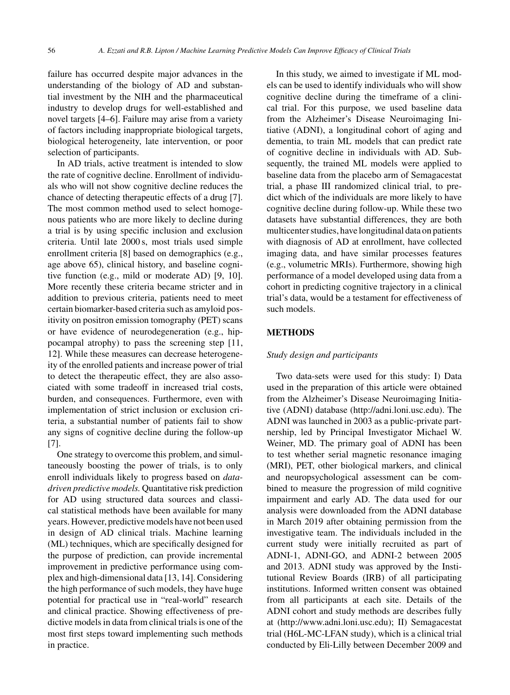failure has occurred despite major advances in the understanding of the biology of AD and substantial investment by the NIH and the pharmaceutical industry to develop drugs for well-established and novel targets [4–6]. Failure may arise from a variety of factors including inappropriate biological targets, biological heterogeneity, late intervention, or poor selection of participants.

In AD trials, active treatment is intended to slow the rate of cognitive decline. Enrollment of individuals who will not show cognitive decline reduces the chance of detecting therapeutic effects of a drug [7]. The most common method used to select homogenous patients who are more likely to decline during a trial is by using specific inclusion and exclusion criteria. Until late 2000 s, most trials used simple enrollment criteria [8] based on demographics (e.g., age above 65), clinical history, and baseline cognitive function (e.g., mild or moderate AD) [9, 10]. More recently these criteria became stricter and in addition to previous criteria, patients need to meet certain biomarker-based criteria such as amyloid positivity on positron emission tomography (PET) scans or have evidence of neurodegeneration (e.g., hippocampal atrophy) to pass the screening step [11, 12]. While these measures can decrease heterogeneity of the enrolled patients and increase power of trial to detect the therapeutic effect, they are also associated with some tradeoff in increased trial costs, burden, and consequences. Furthermore, even with implementation of strict inclusion or exclusion criteria, a substantial number of patients fail to show any signs of cognitive decline during the follow-up [7].

One strategy to overcome this problem, and simultaneously boosting the power of trials, is to only enroll individuals likely to progress based on *datadriven predictive models.* Quantitative risk prediction for AD using structured data sources and classical statistical methods have been available for many years. However, predictive models have not been used in design of AD clinical trials. Machine learning (ML) techniques, which are specifically designed for the purpose of prediction, can provide incremental improvement in predictive performance using complex and high-dimensional data [13, 14]. Considering the high performance of such models, they have huge potential for practical use in "real-world" research and clinical practice. Showing effectiveness of predictive models in data from clinical trials is one of the most first steps toward implementing such methods in practice.

In this study, we aimed to investigate if ML models can be used to identify individuals who will show cognitive decline during the timeframe of a clinical trial. For this purpose, we used baseline data from the Alzheimer's Disease Neuroimaging Initiative (ADNI), a longitudinal cohort of aging and dementia, to train ML models that can predict rate of cognitive decline in individuals with AD. Subsequently, the trained ML models were applied to baseline data from the placebo arm of Semagacestat trial, a phase III randomized clinical trial, to predict which of the individuals are more likely to have cognitive decline during follow-up. While these two datasets have substantial differences, they are both multicenter studies, have longitudinal data on patients with diagnosis of AD at enrollment, have collected imaging data, and have similar processes features (e.g., volumetric MRIs). Furthermore, showing high performance of a model developed using data from a cohort in predicting cognitive trajectory in a clinical trial's data, would be a testament for effectiveness of such models.

## **METHODS**

# *Study design and participants*

Two data-sets were used for this study: I) Data used in the preparation of this article were obtained from the Alzheimer's Disease Neuroimaging Initiative (ADNI) database [\(http://adni.loni.usc.edu\)](http://adni.loni.usc.edu). The ADNI was launched in 2003 as a public-private partnership, led by Principal Investigator Michael W. Weiner, MD. The primary goal of ADNI has been to test whether serial magnetic resonance imaging (MRI), PET, other biological markers, and clinical and neuropsychological assessment can be combined to measure the progression of mild cognitive impairment and early AD. The data used for our analysis were downloaded from the ADNI database in March 2019 after obtaining permission from the investigative team. The individuals included in the current study were initially recruited as part of ADNI-1, ADNI-GO, and ADNI-2 between 2005 and 2013. ADNI study was approved by the Institutional Review Boards (IRB) of all participating institutions. Informed written consent was obtained from all participants at each site. Details of the ADNI cohort and study methods are describes fully at ([http://www.adni.loni.usc.edu\)](http://www.adni.loni.usc.edu); II) Semagacestat trial (H6L-MC-LFAN study), which is a clinical trial conducted by Eli-Lilly between December 2009 and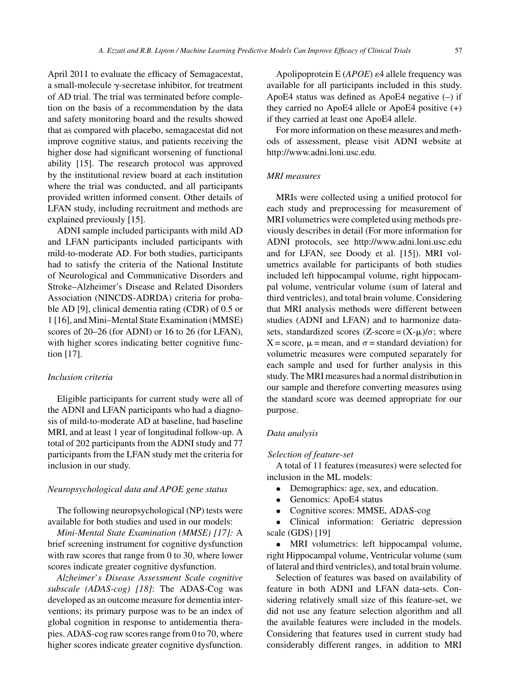April 2011 to evaluate the efficacy of Semagacestat, a small-molecule  $\gamma$ -secretase inhibitor, for treatment of AD trial. The trial was terminated before completion on the basis of a recommendation by the data and safety monitoring board and the results showed that as compared with placebo, semagacestat did not improve cognitive status, and patients receiving the higher dose had significant worsening of functional ability [15]. The research protocol was approved by the institutional review board at each institution where the trial was conducted, and all participants provided written informed consent. Other details of LFAN study, including recruitment and methods are explained previously [15].

ADNI sample included participants with mild AD and LFAN participants included participants with mild-to-moderate AD. For both studies, participants had to satisfy the criteria of the National Institute of Neurological and Communicative Disorders and Stroke–Alzheimer's Disease and Related Disorders Association (NINCDS-ADRDA) criteria for probable AD [9], clinical dementia rating (CDR) of 0.5 or 1 [16], and Mini–Mental State Examination (MMSE) scores of 20–26 (for ADNI) or 16 to 26 (for LFAN), with higher scores indicating better cognitive function [17].

#### *Inclusion criteria*

Eligible participants for current study were all of the ADNI and LFAN participants who had a diagnosis of mild-to-moderate AD at baseline, had baseline MRI, and at least 1 year of longitudinal follow-up. A total of 202 participants from the ADNI study and 77 participants from the LFAN study met the criteria for inclusion in our study.

# *Neuropsychological data and APOE gene status*

The following neuropsychological (NP) tests were available for both studies and used in our models:

*Mini-Mental State Examination (MMSE) [17]:* A brief screening instrument for cognitive dysfunction with raw scores that range from 0 to 30, where lower scores indicate greater cognitive dysfunction.

*Alzheimer*'*s Disease Assessment Scale cognitive subscale (ADAS-cog) [18]*: The ADAS-Cog was developed as an outcome measure for dementia interventions; its primary purpose was to be an index of global cognition in response to antidementia therapies. ADAS-cog raw scores range from 0 to 70, where higher scores indicate greater cognitive dysfunction.

Apolipoprotein E  $(APOE)$   $\varepsilon$ 4 allele frequency was available for all participants included in this study. ApoE4 status was defined as ApoE4 negative  $(-)$  if they carried no ApoE4 allele or ApoE4 positive (+) if they carried at least one ApoE4 allele.

For more information on these measures and methods of assessment, please visit ADNI website at [http://www.adni.loni.usc.edu.](http://www.adni.loni.usc.edu)

#### *MRI measures*

MRIs were collected using a unified protocol for each study and preprocessing for measurement of MRI volumetrics were completed using methods previously describes in detail (For more information for ADNI protocols, see<http://www.adni.loni.usc.edu> and for LFAN, see Doody et al. [15]). MRI volumetrics available for participants of both studies included left hippocampal volume, right hippocampal volume, ventricular volume (sum of lateral and third ventricles), and total brain volume. Considering that MRI analysis methods were different between studies (ADNI and LFAN) and to harmonize datasets, standardized scores  $(Z\text{-score} = (X\text{-}\mu)/\sigma$ ; where  $X = score$ ,  $\mu = mean$ , and  $\sigma = standard deviation$  for volumetric measures were computed separately for each sample and used for further analysis in this study. The MRI measures had a normal distribution in our sample and therefore converting measures using the standard score was deemed appropriate for our purpose.

# *Data analysis*

## *Selection of feature-set*

A total of 11 features (measures) were selected for inclusion in the ML models:

- Demographics: age, sex, and education.
- Genomics: ApoE4 status
- Cognitive scores: MMSE, ADAS-cog

• Clinical information: Geriatric depression scale (GDS) [19]

• MRI volumetrics: left hippocampal volume, right Hippocampal volume, Ventricular volume (sum of lateral and third ventricles), and total brain volume.

Selection of features was based on availability of feature in both ADNI and LFAN data-sets. Considering relatively small size of this feature-set, we did not use any feature selection algorithm and all the available features were included in the models. Considering that features used in current study had considerably different ranges, in addition to MRI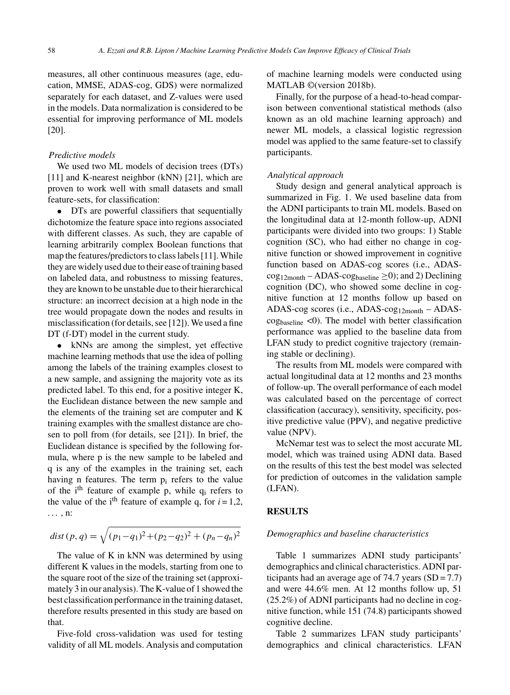measures, all other continuous measures (age, education, MMSE, ADAS-cog, GDS) were normalized separately for each dataset, and Z-values were used in the models. Data normalization is considered to be essential for improving performance of ML models [20].

#### *Predictive models*

We used two ML models of decision trees (DTs) [11] and K-nearest neighbor (kNN) [21], which are proven to work well with small datasets and small feature-sets, for classification:

• DTs are powerful classifiers that sequentially dichotomize the feature space into regions associated with different classes. As such, they are capable of learning arbitrarily complex Boolean functions that map the features/predictors to class labels [11]. While they are widely used due to their ease of training based on labeled data, and robustness to missing features, they are known to be unstable due to their hierarchical structure: an incorrect decision at a high node in the tree would propagate down the nodes and results in misclassification (for details, see [12]). We used a fine DT (f-DT) model in the current study.

• kNNs are among the simplest, yet effective machine learning methods that use the idea of polling among the labels of the training examples closest to a new sample, and assigning the majority vote as its predicted label. To this end, for a positive integer K, the Euclidean distance between the new sample and the elements of the training set are computer and K training examples with the smallest distance are chosen to poll from (for details, see [21]). In brief, the Euclidean distance is specified by the following formula, where p is the new sample to be labeled and q is any of the examples in the training set, each having n features. The term  $p_i$  refers to the value of the i<sup>th</sup> feature of example p, while  $q_i$  refers to the value of the i<sup>th</sup> feature of example q, for  $i = 1,2$ , . . . , n:

$$
dist(p,q) = \sqrt{(p_1 - q_1)^2 + (p_2 - q_2)^2 + (p_n - q_n)^2}
$$

The value of K in kNN was determined by using different K values in the models, starting from one to the square root of the size of the training set (approximately 3 in our analysis). The K-value of 1 showed the best classification performance in the training dataset, therefore results presented in this study are based on that.

Five-fold cross-validation was used for testing validity of all ML models. Analysis and computation of machine learning models were conducted using MATLAB ©(version 2018b).

Finally, for the purpose of a head-to-head comparison between conventional statistical methods (also known as an old machine learning approach) and newer ML models, a classical logistic regression model was applied to the same feature-set to classify participants.

#### *Analytical approach*

Study design and general analytical approach is summarized in Fig. 1. We used baseline data from the ADNI participants to train ML models. Based on the longitudinal data at 12-month follow-up, ADNI participants were divided into two groups: 1) Stable cognition (SC), who had either no change in cognitive function or showed improvement in cognitive function based on ADAS-cog scores (i.e., ADAS- $\text{cog}_{12\text{month}} - \text{ADAS-cog}_{\text{baseline}} \geq 0$ ; and 2) Declining cognition (DC), who showed some decline in cognitive function at 12 months follow up based on ADAS-cog scores (i.e., ADAS-cog<sub>12month</sub>  $-$  ADAScog<sub>baseline</sub>  $\langle 0 \rangle$ . The model with better classification performance was applied to the baseline data from LFAN study to predict cognitive trajectory (remaining stable or declining).

The results from ML models were compared with actual longitudinal data at 12 months and 23 months of follow-up. The overall performance of each model was calculated based on the percentage of correct classification (accuracy), sensitivity, specificity, positive predictive value (PPV), and negative predictive value (NPV).

McNemar test was to select the most accurate ML model, which was trained using ADNI data. Based on the results of this test the best model was selected for prediction of outcomes in the validation sample (LFAN).

#### **RESULTS**

#### *Demographics and baseline characteristics*

Table 1 summarizes ADNI study participants' demographics and clinical characteristics. ADNI participants had an average age of 74.7 years  $(SD = 7.7)$ and were 44.6% men. At 12 months follow up, 51 (25.2%) of ADNI participants had no decline in cognitive function, while 151 (74.8) participants showed cognitive decline.

Table 2 summarizes LFAN study participants' demographics and clinical characteristics. LFAN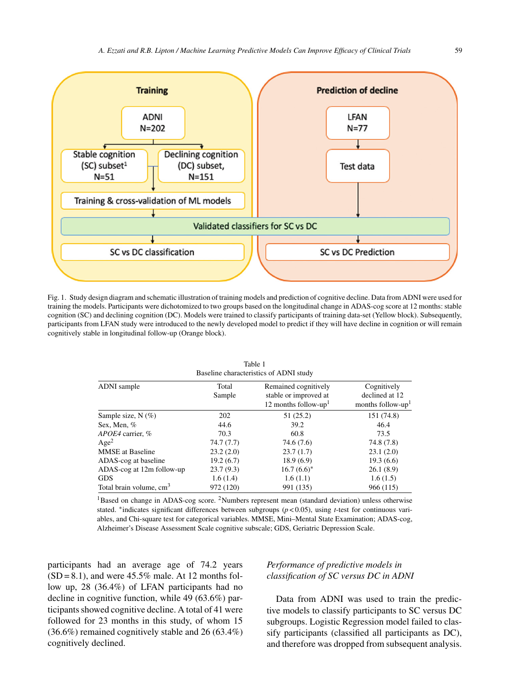

Fig. 1. Study design diagram and schematic illustration of training models and prediction of cognitive decline. Data from ADNI were used for training the models. Participants were dichotomized to two groups based on the longitudinal change in ADAS-cog score at 12 months: stable cognition (SC) and declining cognition (DC). Models were trained to classify participants of training data-set (Yellow block). Subsequently, participants from LFAN study were introduced to the newly developed model to predict if they will have decline in cognition or will remain cognitively stable in longitudinal follow-up (Orange block).

| ADNI sample                         | Total     | Dascrine characteristics of TipTu stady<br>Remained cognitively | Cognitively                   |
|-------------------------------------|-----------|-----------------------------------------------------------------|-------------------------------|
|                                     | Sample    | stable or improved at                                           | declined at 12                |
|                                     |           | 12 months follow-up <sup>1</sup>                                | months follow-up <sup>1</sup> |
| Sample size, $N(\%)$                | 202       | 51(25.2)                                                        | 151 (74.8)                    |
| Sex, Men, %                         | 44.6      | 39.2                                                            | 46.4                          |
| APOE4 carrier, %                    | 70.3      | 60.8                                                            | 73.5                          |
| Age <sup>2</sup>                    | 74.7(7.7) | 74.6(7.6)                                                       | 74.8 (7.8)                    |
| <b>MMSE</b> at Baseline             | 23.2(2.0) | 23.7(1.7)                                                       | 23.1(2.0)                     |
| ADAS-cog at baseline                | 19.2(6.7) | 18.9(6.9)                                                       | 19.3(6.6)                     |
| ADAS-cog at 12m follow-up           | 23.7(9.3) | $16.7(6.6)^*$                                                   | 26.1(8.9)                     |
| GDS                                 | 1.6(1.4)  | 1.6(1.1)                                                        | 1.6(1.5)                      |
| Total brain volume, cm <sup>3</sup> | 972 (120) | 991 (135)                                                       | 966 (115)                     |

Table 1 Baseline characteristics of ADNI study

<sup>1</sup>Based on change in ADAS-cog score. <sup>2</sup>Numbers represent mean (standard deviation) unless otherwise stated. ∗indicates significant differences between subgroups (*p* < 0.05), using *t*-test for continuous variables, and Chi-square test for categorical variables. MMSE, Mini–Mental State Examination; ADAS-cog, Alzheimer's Disease Assessment Scale cognitive subscale; GDS, Geriatric Depression Scale.

participants had an average age of 74.2 years  $(SD = 8.1)$ , and were 45.5% male. At 12 months follow up, 28 (36.4%) of LFAN participants had no decline in cognitive function, while 49 (63.6%) participants showed cognitive decline. A total of 41 were followed for 23 months in this study, of whom 15 (36.6%) remained cognitively stable and 26 (63.4%) cognitively declined.

# *Performance of predictive models in classification of SC versus DC in ADNI*

Data from ADNI was used to train the predictive models to classify participants to SC versus DC subgroups. Logistic Regression model failed to classify participants (classified all participants as DC), and therefore was dropped from subsequent analysis.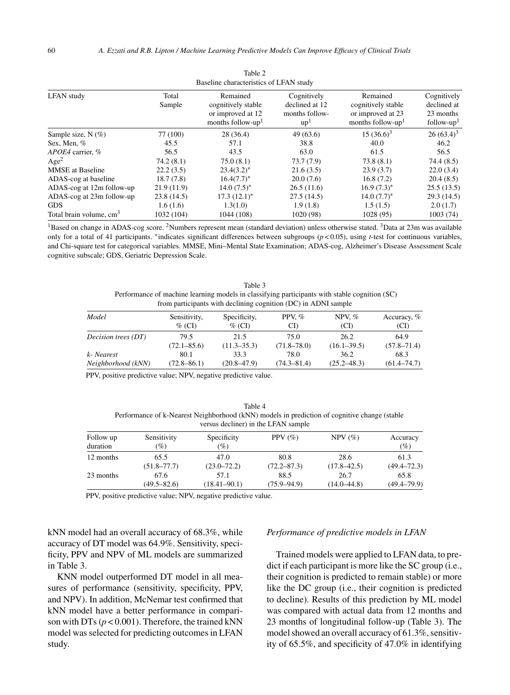| Baseline characteristics of LFAN study |                 |                                                                                      |                                                       |                                                                                      |                                                         |
|----------------------------------------|-----------------|--------------------------------------------------------------------------------------|-------------------------------------------------------|--------------------------------------------------------------------------------------|---------------------------------------------------------|
| <b>LFAN</b> study                      | Total<br>Sample | Remained<br>cognitively stable<br>or improved at 12<br>months follow-up <sup>1</sup> | Cognitively<br>declined at 12<br>months follow-<br>up | Remained<br>cognitively stable<br>or improved at 23<br>months follow-up <sup>1</sup> | Cognitively<br>declined at<br>23 months<br>$follow-up1$ |
| Sample size, $N(\%)$                   | 77 (100)        | 28 (36.4)                                                                            | 49(63.6)                                              | $15(36.6)^3$                                                                         | $26(63.4)^3$                                            |
| Sex, Men, %                            | 45.5            | 57.1                                                                                 | 38.8                                                  | 40.0                                                                                 | 46.2                                                    |
| APOE4 carrier, %                       | 56.5            | 43.5                                                                                 | 63.0                                                  | 61.5                                                                                 | 56.5                                                    |
| Age <sup>2</sup>                       | 74.2(8.1)       | 75.0(8.1)                                                                            | 73.7(7.9)                                             | 73.8(8.1)                                                                            | 74.4 (8.5)                                              |
| <b>MMSE</b> at Baseline                | 22.2(3.5)       | $23.4(3.2)^*$                                                                        | 21.6(3.5)                                             | 23.9(3.7)                                                                            | 22.0(3.4)                                               |
| ADAS-cog at baseline                   | 18.7(7.8)       | $16.4(7.7)^*$                                                                        | 20.0(7.6)                                             | 16.8(7.2)                                                                            | 20.4(8.5)                                               |
| ADAS-cog at 12m follow-up              | 21.9(11.9)      | $14.0(7.5)^*$                                                                        | 26.5(11.6)                                            | $16.9(7.3)^*$                                                                        | 25.5(13.5)                                              |
| ADAS-cog at 23m follow-up              | 23.8(14.5)      | $17.3(12.1)^*$                                                                       | 27.5(14.5)                                            | $14.0 (7.7)^*$                                                                       | 29.3(14.5)                                              |
| <b>GDS</b>                             | 1.6(1.6)        | 1.3(1.0)                                                                             | 1.9(1.8)                                              | 1.5(1.5)                                                                             | 2.0(1.7)                                                |
| Total brain volume, cm <sup>3</sup>    | 1032 (104)      | 1044 (108)                                                                           | 1020 (98)                                             | 1028 (95)                                                                            | 1003(74)                                                |

| Table 2                                |
|----------------------------------------|
| Baseline characteristics of LFAN study |

 $1B$ ased on change in ADAS-cog score. <sup>2</sup>Numbers represent mean (standard deviation) unless otherwise stated. <sup>3</sup>Data at 23m was available only for a total of 41 participants. ∗indicates significant differences between subgroups (*p* < 0.05), using *t*-test for continuous variables, and Chi-square test for categorical variables. MMSE, Mini–Mental State Examination; ADAS-cog, Alzheimer's Disease Assessment Scale cognitive subscale; GDS, Geriatric Depression Scale.

Table 3 Performance of machine learning models in classifying participants with stable cognition (SC) from participants with declining cognition (DC) in ADNI sample

| Model                      | Sensitivity,<br>$\%$ (CI) | Specificity,<br>$\%$ (CI) | PPV, $\%$<br>CD | NPV, $%$<br>(CI) | Accuracy, %<br>(CI) |
|----------------------------|---------------------------|---------------------------|-----------------|------------------|---------------------|
| <i>Decision trees</i> (DT) | 79.5                      | 21.5                      | 75.0            | 26.2             | 64.9                |
|                            | $(72.1 - 85.6)$           | $(11.3 - 35.3)$           | $(71.8 - 78.0)$ | $(16.1 - 39.5)$  | $(57.8 - 71.4)$     |
| k- Nearest                 | 80.1                      | 33.3                      | 78.0            | 36.2             | 68.3                |
| Neighborhood (kNN)         | $(72.8 - 86.1)$           | $(20.8 - 47.9)$           | $(74.3 - 81.4)$ | $(25.2 - 48.3)$  | $(61.4 - 74.7)$     |

PPV, positive predictive value; NPV, negative predictive value.

Table 4 Performance of k-Nearest Neighborhood (kNN) models in prediction of cognitive change (stable versus decliner) in the LFAN sample

| Follow up<br>duration | Sensitivity<br>$(\%)$ | Specificity<br>(%) | PPV $(\% )$     | $NPV$ $(\%)$    | Accuracy<br>$(\%)$ |
|-----------------------|-----------------------|--------------------|-----------------|-----------------|--------------------|
|                       |                       |                    |                 |                 |                    |
| 12 months             | 65.5                  | 47.0               | 80.8            | 28.6            | 61.3               |
|                       | $(51.8 - 77.7)$       | $(23.0 - 72.2)$    | $(72.2 - 87.3)$ | $(17.8 - 42.5)$ | $(49.4 - 72.3)$    |
| 23 months             | 67.6                  | 57.1               | 88.5            | 26.7            | 65.8               |
|                       | $(49.5 - 82.6)$       | $(18.41 - 90.1)$   | $(75.9 - 94.9)$ | $(14.0 - 44.8)$ | $(49.4 - 79.9)$    |

PPV, positive predictive value; NPV, negative predictive value.

kNN model had an overall accuracy of 68.3%, while accuracy of DT model was 64.9%. Sensitivity, specificity, PPV and NPV of ML models are summarized in Table 3.

KNN model outperformed DT model in all measures of performance (sensitivity, specificity, PPV, and NPV). In addition, McNemar test confirmed that kNN model have a better performance in comparison with DTs  $(p < 0.001)$ . Therefore, the trained kNN model was selected for predicting outcomes in LFAN study.

## *Performance of predictive models in LFAN*

Trained models were applied to LFAN data, to predict if each participant is more like the SC group (i.e., their cognition is predicted to remain stable) or more like the DC group (i.e., their cognition is predicted to decline). Results of this prediction by ML model was compared with actual data from 12 months and 23 months of longitudinal follow-up (Table 3). The model showed an overall accuracy of 61.3%, sensitivity of 65.5%, and specificity of 47.0% in identifying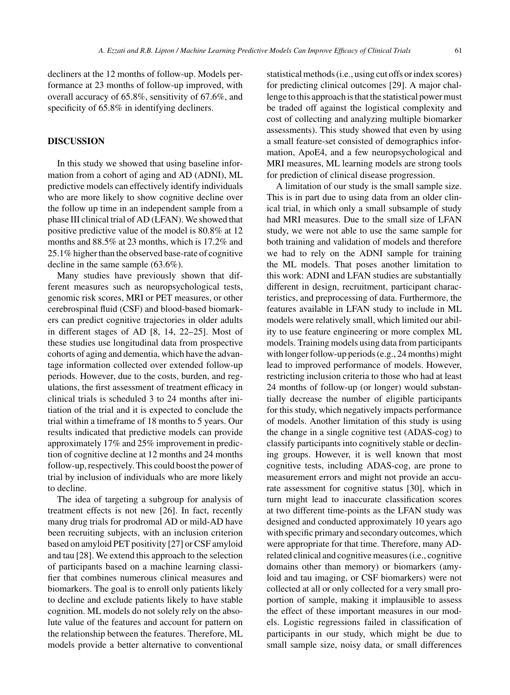decliners at the 12 months of follow-up. Models performance at 23 months of follow-up improved, with overall accuracy of 65.8%, sensitivity of 67.6%, and specificity of 65.8% in identifying decliners.

## **DISCUSSION**

In this study we showed that using baseline information from a cohort of aging and AD (ADNI), ML predictive models can effectively identify individuals who are more likely to show cognitive decline over the follow up time in an independent sample from a phase III clinical trial of AD (LFAN). We showed that positive predictive value of the model is 80.8% at 12 months and 88.5% at 23 months, which is 17.2% and 25.1% higher than the observed base-rate of cognitive decline in the same sample (63.6%).

Many studies have previously shown that different measures such as neuropsychological tests, genomic risk scores, MRI or PET measures, or other cerebrospinal fluid (CSF) and blood-based biomarkers can predict cognitive trajectories in older adults in different stages of AD [8, 14, 22–25]. Most of these studies use longitudinal data from prospective cohorts of aging and dementia, which have the advantage information collected over extended follow-up periods. However, due to the costs, burden, and regulations, the first assessment of treatment efficacy in clinical trials is scheduled 3 to 24 months after initiation of the trial and it is expected to conclude the trial within a timeframe of 18 months to 5 years. Our results indicated that predictive models can provide approximately 17% and 25% improvement in prediction of cognitive decline at 12 months and 24 months follow-up, respectively. This could boost the power of trial by inclusion of individuals who are more likely to decline.

The idea of targeting a subgroup for analysis of treatment effects is not new [26]. In fact, recently many drug trials for prodromal AD or mild-AD have been recruiting subjects, with an inclusion criterion based on amyloid PET positivity [27] or CSF amyloid and tau [28]. We extend this approach to the selection of participants based on a machine learning classifier that combines numerous clinical measures and biomarkers. The goal is to enroll only patients likely to decline and exclude patients likely to have stable cognition. ML models do not solely rely on the absolute value of the features and account for pattern on the relationship between the features. Therefore, ML models provide a better alternative to conventional

statistical methods (i.e., using cut offs or index scores) for predicting clinical outcomes [29]. A major challenge to this approach is that the statistical power must be traded off against the logistical complexity and cost of collecting and analyzing multiple biomarker assessments). This study showed that even by using a small feature-set consisted of demographics information, ApoE4, and a few neuropsychological and MRI measures, ML learning models are strong tools for prediction of clinical disease progression.

A limitation of our study is the small sample size. This is in part due to using data from an older clinical trial, in which only a small subsample of study had MRI measures. Due to the small size of LFAN study, we were not able to use the same sample for both training and validation of models and therefore we had to rely on the ADNI sample for training the ML models. That poses another limitation to this work: ADNI and LFAN studies are substantially different in design, recruitment, participant characteristics, and preprocessing of data. Furthermore, the features available in LFAN study to include in ML models were relatively small, which limited our ability to use feature engineering or more complex ML models. Training models using data from participants with longer follow-up periods (e.g., 24 months) might lead to improved performance of models. However, restricting inclusion criteria to those who had at least 24 months of follow-up (or longer) would substantially decrease the number of eligible participants for this study, which negatively impacts performance of models. Another limitation of this study is using the change in a single cognitive test (ADAS-cog) to classify participants into cognitively stable or declining groups. However, it is well known that most cognitive tests, including ADAS-cog, are prone to measurement errors and might not provide an accurate assessment for cognitive status [30], which in turn might lead to inaccurate classification scores at two different time-points as the LFAN study was designed and conducted approximately 10 years ago with specific primary and secondary outcomes, which were appropriate for that time. Therefore, many ADrelated clinical and cognitive measures (i.e., cognitive domains other than memory) or biomarkers (amyloid and tau imaging, or CSF biomarkers) were not collected at all or only collected for a very small proportion of sample, making it implausible to assess the effect of these important measures in our models. Logistic regressions failed in classification of participants in our study, which might be due to small sample size, noisy data, or small differences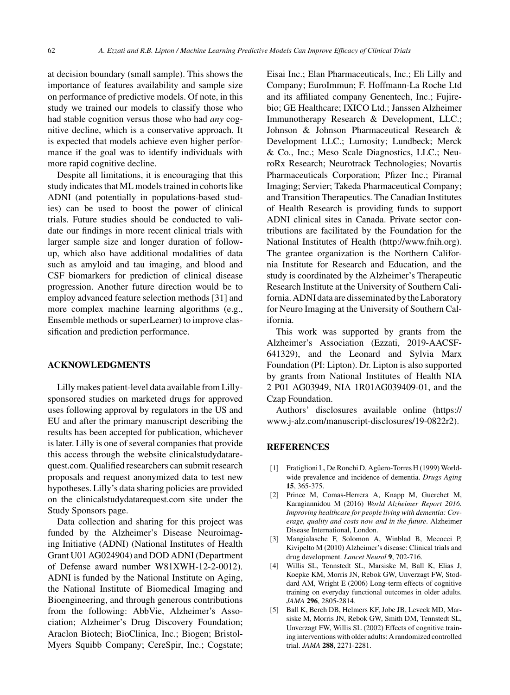at decision boundary (small sample). This shows the importance of features availability and sample size on performance of predictive models. Of note, in this study we trained our models to classify those who had stable cognition versus those who had *any* cognitive decline, which is a conservative approach. It is expected that models achieve even higher performance if the goal was to identify individuals with more rapid cognitive decline.

Despite all limitations, it is encouraging that this study indicates that ML models trained in cohorts like ADNI (and potentially in populations-based studies) can be used to boost the power of clinical trials. Future studies should be conducted to validate our findings in more recent clinical trials with larger sample size and longer duration of followup, which also have additional modalities of data such as amyloid and tau imaging, and blood and CSF biomarkers for prediction of clinical disease progression. Another future direction would be to employ advanced feature selection methods [31] and more complex machine learning algorithms (e.g., Ensemble methods or superLearner) to improve classification and prediction performance.

# **ACKNOWLEDGMENTS**

Lilly makes patient-level data available from Lillysponsored studies on marketed drugs for approved uses following approval by regulators in the US and EU and after the primary manuscript describing the results has been accepted for publication, whichever is later. Lilly is one of several companies that provide this access through the website clinicalstudydatarequest.com. Qualified researchers can submit research proposals and request anonymized data to test new hypotheses. Lilly's data sharing policies are provided on the clinicalstudydatarequest.com site under the Study Sponsors page.

Data collection and sharing for this project was funded by the Alzheimer's Disease Neuroimaging Initiative (ADNI) (National Institutes of Health Grant U01 AG024904) and DOD ADNI (Department of Defense award number W81XWH-12-2-0012). ADNI is funded by the National Institute on Aging, the National Institute of Biomedical Imaging and Bioengineering, and through generous contributions from the following: AbbVie, Alzheimer's Association; Alzheimer's Drug Discovery Foundation; Araclon Biotech; BioClinica, Inc.; Biogen; Bristol-Myers Squibb Company; CereSpir, Inc.; Cogstate;

Eisai Inc.; Elan Pharmaceuticals, Inc.; Eli Lilly and Company; EuroImmun; F. Hoffmann-La Roche Ltd and its affiliated company Genentech, Inc.; Fujirebio; GE Healthcare; IXICO Ltd.; Janssen Alzheimer Immunotherapy Research & Development, LLC.; Johnson & Johnson Pharmaceutical Research & Development LLC.; Lumosity; Lundbeck; Merck & Co., Inc.; Meso Scale Diagnostics, LLC.; NeuroRx Research; Neurotrack Technologies; Novartis Pharmaceuticals Corporation; Pfizer Inc.; Piramal Imaging; Servier; Takeda Pharmaceutical Company; and Transition Therapeutics. The Canadian Institutes of Health Research is providing funds to support ADNI clinical sites in Canada. Private sector contributions are facilitated by the Foundation for the National Institutes of Health [\(http://www.fnih.org](http://www.fnih.org)). The grantee organization is the Northern California Institute for Research and Education, and the study is coordinated by the Alzheimer's Therapeutic Research Institute at the University of Southern California. ADNI data are disseminated by the Laboratory for Neuro Imaging at the University of Southern California.

This work was supported by grants from the Alzheimer's Association (Ezzati, 2019-AACSF-641329), and the Leonard and Sylvia Marx Foundation (PI: Lipton). Dr. Lipton is also supported by grants from National Institutes of Health NIA 2 P01 AG03949, NIA 1R01AG039409-01, and the Czap Foundation.

Authors' disclosures available online [\(https://](https://www.j-alz.com/manuscript-disclosures/19-0822r2) [www.j-alz.com/manuscript-disclosures/19-0822r2\)](https://www.j-alz.com/manuscript-disclosures/19-0822r2).

## **REFERENCES**

- [1] Fratiglioni L, De Ronchi D, Aguero-Torres H (1999) Worldwide prevalence and incidence of dementia. *Drugs Aging* **15**, 365-375.
- [2] Prince M, Comas-Herrera A, Knapp M, Guerchet M, Karagiannidou M (2016) *World Alzheimer Report 2016. Improving healthcare for people living with dementia: Coverage, quality and costs now and in the future*. Alzheimer Disease International, London.
- [3] Mangialasche F, Solomon A, Winblad B, Mecocci P, Kivipelto M (2010) Alzheimer's disease: Clinical trials and drug development. *Lancet Neurol* **9**, 702-716.
- [4] Willis SL, Tennstedt SL, Marsiske M, Ball K, Elias J, Koepke KM, Morris JN, Rebok GW, Unverzagt FW, Stoddard AM, Wright E (2006) Long-term effects of cognitive training on everyday functional outcomes in older adults. *JAMA* **296**, 2805-2814.
- [5] Ball K, Berch DB, Helmers KF, Jobe JB, Leveck MD, Marsiske M, Morris JN, Rebok GW, Smith DM, Tennstedt SL, Unverzagt FW, Willis SL (2002) Effects of cognitive training interventions with older adults: A randomized controlled trial. *JAMA* **288**, 2271-2281.